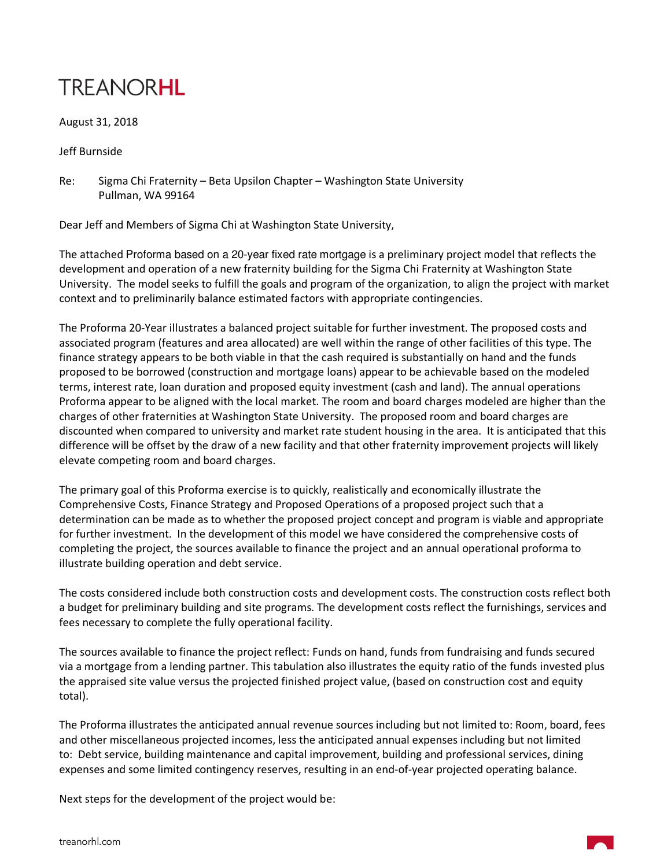## **TREANORHL**

August 31, 2018

Jeff Burnside

Re: Sigma Chi Fraternity – Beta Upsilon Chapter – Washington State University Pullman, WA 99164

Dear Jeff and Members of Sigma Chi at Washington State University,

The attached Proforma based on a 20-year fixed rate mortgage is a preliminary project model that reflects the development and operation of a new fraternity building for the Sigma Chi Fraternity at Washington State University. The model seeks to fulfill the goals and program of the organization, to align the project with market context and to preliminarily balance estimated factors with appropriate contingencies.

The Proforma 20-Year illustrates a balanced project suitable for further investment. The proposed costs and associated program (features and area allocated) are well within the range of other facilities of this type. The finance strategy appears to be both viable in that the cash required is substantially on hand and the funds proposed to be borrowed (construction and mortgage loans) appear to be achievable based on the modeled terms, interest rate, loan duration and proposed equity investment (cash and land). The annual operations Proforma appear to be aligned with the local market. The room and board charges modeled are higher than the charges of other fraternities at Washington State University. The proposed room and board charges are discounted when compared to university and market rate student housing in the area. It is anticipated that this difference will be offset by the draw of a new facility and that other fraternity improvement projects will likely elevate competing room and board charges.

The primary goal of this Proforma exercise is to quickly, realistically and economically illustrate the Comprehensive Costs, Finance Strategy and Proposed Operations of a proposed project such that a determination can be made as to whether the proposed project concept and program is viable and appropriate for further investment. In the development of this model we have considered the comprehensive costs of completing the project, the sources available to finance the project and an annual operational proforma to illustrate building operation and debt service.

The costs considered include both construction costs and development costs. The construction costs reflect both a budget for preliminary building and site programs. The development costs reflect the furnishings, services and fees necessary to complete the fully operational facility.

The sources available to finance the project reflect: Funds on hand, funds from fundraising and funds secured via a mortgage from a lending partner. This tabulation also illustrates the equity ratio of the funds invested plus the appraised site value versus the projected finished project value, (based on construction cost and equity total).

The Proforma illustrates the anticipated annual revenue sources including but not limited to: Room, board, fees and other miscellaneous projected incomes, less the anticipated annual expenses including but not limited to: Debt service, building maintenance and capital improvement, building and professional services, dining expenses and some limited contingency reserves, resulting in an end-of-year projected operating balance.

Next steps for the development of the project would be: